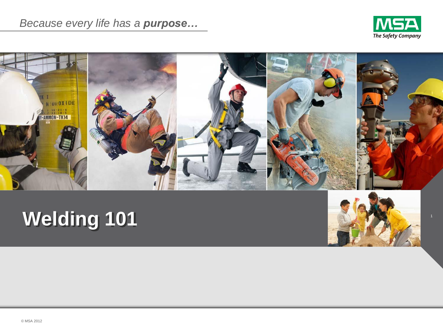



# **Welding 101**

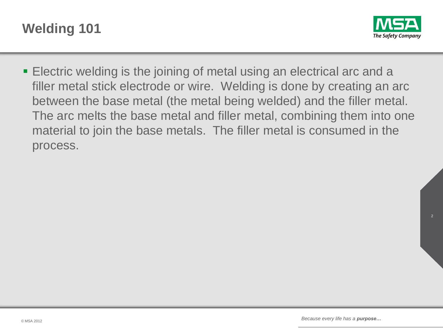



 Electric welding is the joining of metal using an electrical arc and a filler metal stick electrode or wire. Welding is done by creating an arc between the base metal (the metal being welded) and the filler metal. The arc melts the base metal and filler metal, combining them into one material to join the base metals. The filler metal is consumed in the process.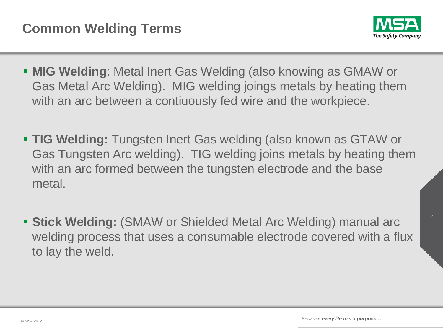

- **MIG Welding**: Metal Inert Gas Welding (also knowing as GMAW or Gas Metal Arc Welding). MIG welding joings metals by heating them with an arc between a contiuously fed wire and the workpiece.
- **TIG Welding:** Tungsten Inert Gas welding (also known as GTAW or Gas Tungsten Arc welding). TIG welding joins metals by heating them with an arc formed between the tungsten electrode and the base metal.
- **Stick Welding:** (SMAW or Shielded Metal Arc Welding) manual arc welding process that uses a consumable electrode covered with a flux to lay the weld.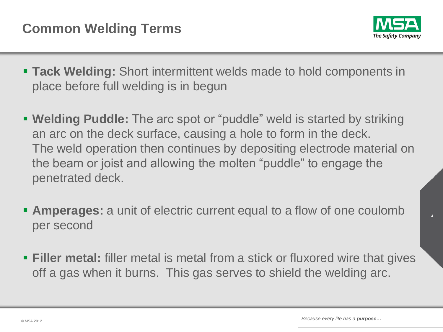

- **Tack Welding:** Short intermittent welds made to hold components in place before full welding is in begun
- **Welding Puddle:** The arc spot or "puddle" weld is started by striking an arc on the deck surface, causing a hole to form in the deck. The weld operation then continues by depositing electrode material on the beam or joist and allowing the molten "puddle" to engage the penetrated deck.
- **Amperages:** a unit of electric current equal to a flow of one coulomb per second
- **Filler metal:** filler metal is metal from a stick or fluxored wire that gives off a gas when it burns. This gas serves to shield the welding arc.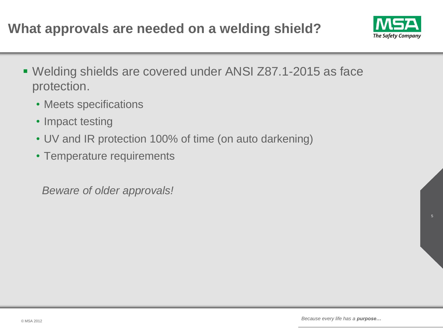

- Welding shields are covered under ANSI Z87.1-2015 as face protection.
	- Meets specifications
	- Impact testing
	- UV and IR protection 100% of time (on auto darkening)
	- Temperature requirements

*Beware of older approvals!*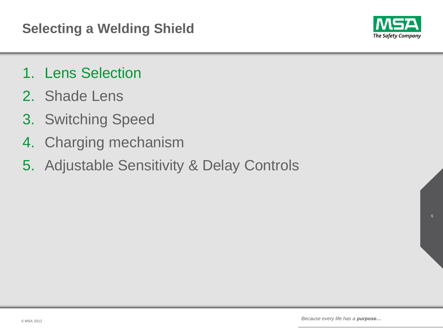

- 1. Lens Selection
- 2. Shade Lens
- 3. Switching Speed
- 4. Charging mechanism
- 5. Adjustable Sensitivity & Delay Controls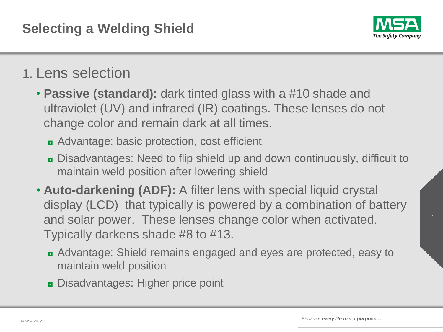

## 1. Lens selection

- **Passive (standard):** dark tinted glass with a #10 shade and ultraviolet (UV) and infrared (IR) coatings. These lenses do not change color and remain dark at all times.
	- ◘ Advantage: basic protection, cost efficient
	- ◘ Disadvantages: Need to flip shield up and down continuously, difficult to maintain weld position after lowering shield
- **Auto-darkening (ADF):** A filter lens with special liquid crystal display (LCD) that typically is powered by a combination of battery and solar power. These lenses change color when activated. Typically darkens shade #8 to #13.
	- ◘ Advantage: Shield remains engaged and eyes are protected, easy to maintain weld position
	- ◘ Disadvantages: Higher price point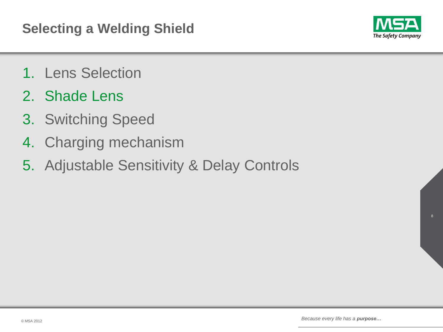

- 1. Lens Selection
- 2. Shade Lens
- 3. Switching Speed
- 4. Charging mechanism
- 5. Adjustable Sensitivity & Delay Controls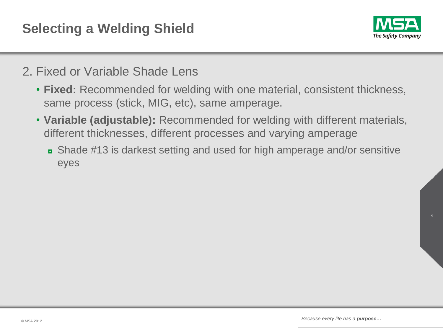

### 2. Fixed or Variable Shade Lens

- **Fixed:** Recommended for welding with one material, consistent thickness, same process (stick, MIG, etc), same amperage.
- **Variable (adjustable):** Recommended for welding with different materials, different thicknesses, different processes and varying amperage
	- ◘ Shade #13 is darkest setting and used for high amperage and/or sensitive eyes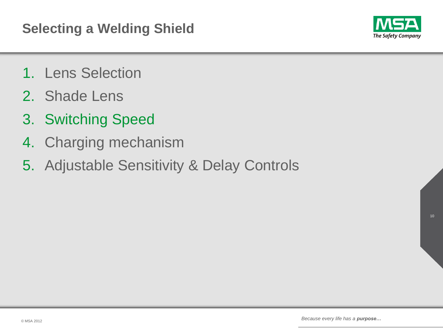

- 1. Lens Selection
- 2. Shade Lens
- 3. Switching Speed
- 4. Charging mechanism
- 5. Adjustable Sensitivity & Delay Controls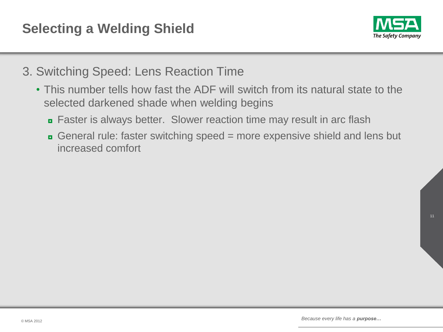

- 3. Switching Speed: Lens Reaction Time
	- This number tells how fast the ADF will switch from its natural state to the selected darkened shade when welding begins
		- Faster is always better. Slower reaction time may result in arc flash
		- General rule: faster switching speed = more expensive shield and lens but increased comfort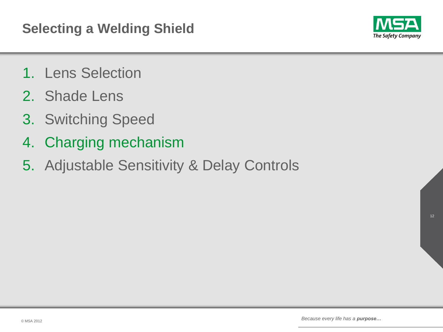

- 1. Lens Selection
- 2. Shade Lens
- 3. Switching Speed
- 4. Charging mechanism
- 5. Adjustable Sensitivity & Delay Controls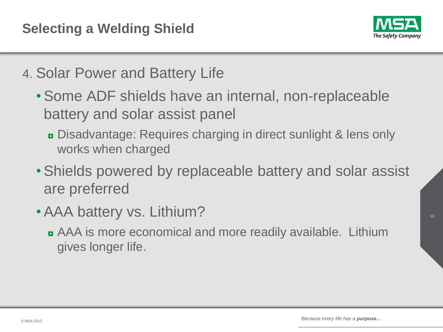

- 4. Solar Power and Battery Life
	- •Some ADF shields have an internal, non-replaceable battery and solar assist panel
		- ◘ Disadvantage: Requires charging in direct sunlight & lens only works when charged
	- •Shields powered by replaceable battery and solar assist are preferred
	- •AAA battery vs. Lithium?
		- ◘ AAA is more economical and more readily available. Lithium gives longer life.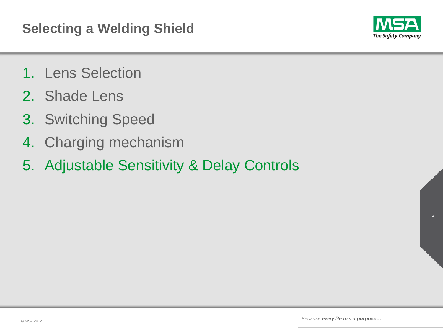

- 1. Lens Selection
- 2. Shade Lens
- 3. Switching Speed
- 4. Charging mechanism
- 5. Adjustable Sensitivity & Delay Controls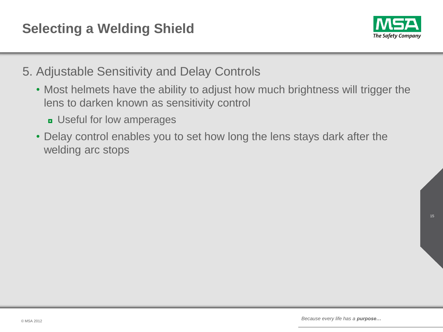

- 5. Adjustable Sensitivity and Delay Controls
	- Most helmets have the ability to adjust how much brightness will trigger the lens to darken known as sensitivity control
		- ◘ Useful for low amperages
	- Delay control enables you to set how long the lens stays dark after the welding arc stops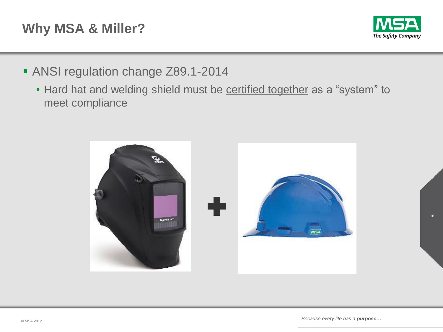## **Why MSA & Miller?**



- ANSI regulation change Z89.1-2014
	- Hard hat and welding shield must be certified together as a "system" to meet compliance

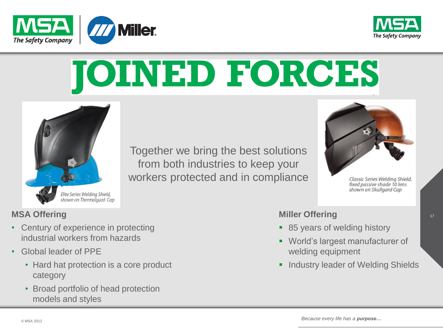



# **JOINED FORCES**



Together we bring the best solutions from both industries to keep your workers protected and in compliance



Classic Series Welding Shield,

### **MSA Offering**

- Century of experience in protecting industrial workers from hazards
- Global leader of PPE
	- Hard hat protection is a core product category
	- Broad portfolio of head protection models and styles

#### **Miller Offering**

- 85 years of welding history
- World's largest manufacturer of welding equipment
- **Industry leader of Welding Shields**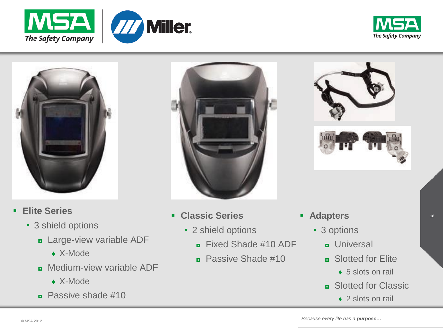





- **Elite Series**
	- 3 shield options
		- **<u>n</u>** Large-view variable ADF
			- ♦ X-Mode
		- **B** Medium-view variable ADF
			- ♦ X-Mode
		- $\overline{P}$  Passive shade #10



- **Classic Series**
	- 2 shield options
		- $\overline{p}$  Fixed Shade #10 ADF
		- $\blacksquare$  Passive Shade #10





- **Adapters**
	- 3 options
		- **D** Universal
		- $\blacksquare$  Slotted for Elite
			- $\rightarrow$  5 slots on rail
		- **B** Slotted for Classic
			- $\triangle$  2 slots on rail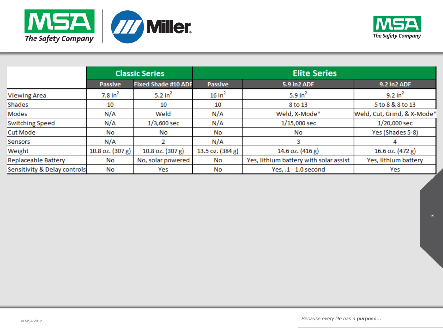



|                              | <b>Classic Series</b> |                            | <b>Elite Series</b> |                                        |                             |
|------------------------------|-----------------------|----------------------------|---------------------|----------------------------------------|-----------------------------|
|                              | <b>Passive</b>        | <b>Fixed Shade #10 ADF</b> | <b>Passive</b>      | <b>5.9 in2 ADF</b>                     | 9.2 in 2 ADF                |
| <b>Viewing Area</b>          | $7.8$ in <sup>2</sup> | 5.2 in $2$                 | 16 in <sup>2</sup>  | 5.9 in $2$                             | $9.2$ in <sup>2</sup>       |
| Shades                       | 10                    | 10                         | 10                  | 8 to 13                                | 5 to 8 & 8 to 13            |
| Modes                        | N/A                   | Weld                       | N/A                 | Weld, X-Mode*                          | Weld, Cut, Grind, & X-Mode* |
| <b>Switching Speed</b>       | N/A                   | $1/3,600$ sec              | N/A                 | $1/15,000$ sec                         | $1/20,000$ sec              |
| <b>Cut Mode</b>              | No                    | No                         | No                  | No                                     | Yes (Shades 5-8)            |
| Sensors                      | N/A                   |                            | N/A                 |                                        | 4                           |
| Weight                       | 10.8 oz. (307 g)      | 10.8 oz. (307 g)           | 13.5 oz. (384 g)    | 14.6 oz. (416 g)                       | 16.6 oz. (472 g)            |
| <b>Replaceable Battery</b>   | No                    | No, solar powered          | No                  | Yes, lithium battery with solar assist | Yes, lithium battery        |
| Sensitivity & Delay controls | No                    | Yes                        | No                  | Yes, .1 - 1.0 second                   | Yes                         |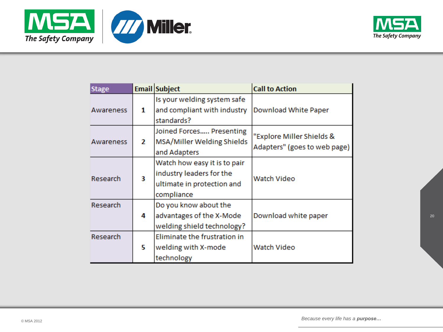



| <b>Stage</b> |   | Email Subject                                                                                        | <b>Call to Action</b>                                     |
|--------------|---|------------------------------------------------------------------------------------------------------|-----------------------------------------------------------|
| Awareness    | 1 | Is your welding system safe<br>and compliant with industry<br>standards?                             | Download White Paper                                      |
| Awareness    | 2 | Joined Forces Presenting<br>MSA/Miller Welding Shields<br>and Adapters                               | "Explore Miller Shields &<br>Adapters" (goes to web page) |
| Research     | 3 | Watch how easy it is to pair<br>industry leaders for the<br>ultimate in protection and<br>compliance | Watch Video                                               |
| Research     | 4 | Do you know about the<br>advantages of the X-Mode<br>welding shield technology?                      | Download white paper                                      |
| Research     | 5 | Eliminate the frustration in<br>welding with X-mode<br>technology                                    | Watch Video                                               |

© MSA 2012 *Because every life has a purpose…*